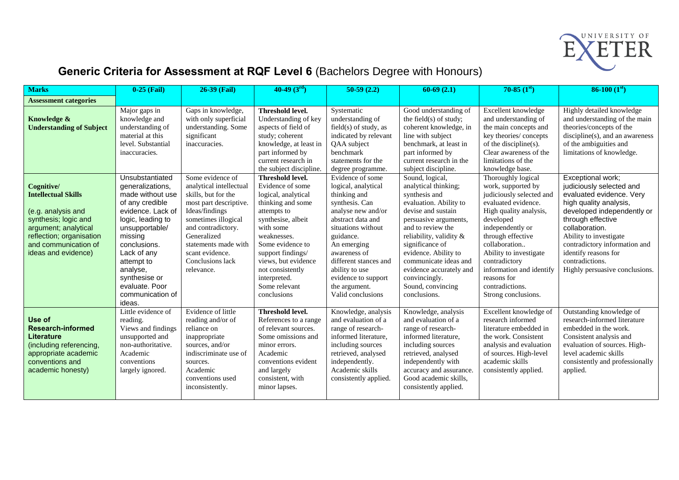

## **Generic Criteria for Assessment at RQF Level 6** (Bachelors Degree with Honours)

| <b>Marks</b>                                                                                                                                                                              | $0-25$ (Fail)                                                                                                                                                                                                                                                               | 26-39 (Fail)                                                                                                                                                                                                                                            | 40-49 $(3rd)$                                                                                                                                                                                                                                                                                | $50-59(2.2)$                                                                                                                                                                                                                                                                                   | $60-69(2.1)$                                                                                                                                                                                                                                                                                                                           | $70-85~(1st)$                                                                                                                                                                                                                                                                                                                | $86-100(1st)$                                                                                                                                                                                                                                                                                                    |
|-------------------------------------------------------------------------------------------------------------------------------------------------------------------------------------------|-----------------------------------------------------------------------------------------------------------------------------------------------------------------------------------------------------------------------------------------------------------------------------|---------------------------------------------------------------------------------------------------------------------------------------------------------------------------------------------------------------------------------------------------------|----------------------------------------------------------------------------------------------------------------------------------------------------------------------------------------------------------------------------------------------------------------------------------------------|------------------------------------------------------------------------------------------------------------------------------------------------------------------------------------------------------------------------------------------------------------------------------------------------|----------------------------------------------------------------------------------------------------------------------------------------------------------------------------------------------------------------------------------------------------------------------------------------------------------------------------------------|------------------------------------------------------------------------------------------------------------------------------------------------------------------------------------------------------------------------------------------------------------------------------------------------------------------------------|------------------------------------------------------------------------------------------------------------------------------------------------------------------------------------------------------------------------------------------------------------------------------------------------------------------|
| <b>Assessment categories</b>                                                                                                                                                              |                                                                                                                                                                                                                                                                             |                                                                                                                                                                                                                                                         |                                                                                                                                                                                                                                                                                              |                                                                                                                                                                                                                                                                                                |                                                                                                                                                                                                                                                                                                                                        |                                                                                                                                                                                                                                                                                                                              |                                                                                                                                                                                                                                                                                                                  |
| Knowledge &<br><b>Understanding of Subject</b>                                                                                                                                            | Major gaps in<br>knowledge and<br>understanding of<br>material at this<br>level. Substantial<br>inaccuracies.                                                                                                                                                               | Gaps in knowledge,<br>with only superficial<br>understanding. Some<br>significant<br>inaccuracies.                                                                                                                                                      | <b>Threshold level.</b><br>Understanding of key<br>aspects of field of<br>study; coherent<br>knowledge, at least in<br>part informed by<br>current research in<br>the subject discipline.                                                                                                    | Systematic<br>understanding of<br>$field(s)$ of study, as<br>indicated by relevant<br>QAA subject<br>benchmark<br>statements for the<br>degree programme.                                                                                                                                      | Good understanding of<br>the field(s) of study;<br>coherent knowledge, in<br>line with subject<br>benchmark, at least in<br>part informed by<br>current research in the<br>subject discipline.                                                                                                                                         | Excellent knowledge<br>and understanding of<br>the main concepts and<br>key theories/concepts<br>of the discipline(s).<br>Clear awareness of the<br>limitations of the<br>knowledge base.                                                                                                                                    | Highly detailed knowledge<br>and understanding of the main<br>theories/concepts of the<br>discipline(s), and an awareness<br>of the ambiguities and<br>limitations of knowledge.                                                                                                                                 |
| Cognitive/<br><b>Intellectual Skills</b><br>(e.g. analysis and<br>synthesis; logic and<br>argument; analytical<br>reflection; organisation<br>and communication of<br>ideas and evidence) | Unsubstantiated<br>generalizations,<br>made without use<br>of any credible<br>evidence. Lack of<br>logic, leading to<br>unsupportable/<br>missing<br>conclusions.<br>Lack of any<br>attempt to<br>analyse,<br>synthesise or<br>evaluate. Poor<br>communication of<br>ideas. | Some evidence of<br>analytical intellectual<br>skills, but for the<br>most part descriptive.<br>Ideas/findings<br>sometimes illogical<br>and contradictory.<br>Generalized<br>statements made with<br>scant evidence.<br>Conclusions lack<br>relevance. | <b>Threshold level.</b><br>Evidence of some<br>logical, analytical<br>thinking and some<br>attempts to<br>synthesise, albeit<br>with some<br>weaknesses.<br>Some evidence to<br>support findings/<br>views, but evidence<br>not consistently<br>interpreted.<br>Some relevant<br>conclusions | Evidence of some<br>logical, analytical<br>thinking and<br>synthesis. Can<br>analyse new and/or<br>abstract data and<br>situations without<br>guidance.<br>An emerging<br>awareness of<br>different stances and<br>ability to use<br>evidence to support<br>the argument.<br>Valid conclusions | Sound, logical,<br>analytical thinking;<br>synthesis and<br>evaluation. Ability to<br>devise and sustain<br>persuasive arguments,<br>and to review the<br>reliability, validity &<br>significance of<br>evidence. Ability to<br>communicate ideas and<br>evidence accurately and<br>convincingly.<br>Sound, convincing<br>conclusions. | Thoroughly logical<br>work, supported by<br>judiciously selected and<br>evaluated evidence.<br>High quality analysis,<br>developed<br>independently or<br>through effective<br>collaboration<br>Ability to investigate<br>contradictory<br>information and identify<br>reasons for<br>contradictions.<br>Strong conclusions. | Exceptional work;<br>judiciously selected and<br>evaluated evidence. Very<br>high quality analysis,<br>developed independently or<br>through effective<br>collaboration.<br>Ability to investigate<br>contradictory information and<br>identify reasons for<br>contradictions.<br>Highly persuasive conclusions. |
| <b>Use of</b><br><b>Research-informed</b><br>Literature<br>(including referencing,<br>appropriate academic<br>conventions and<br>academic honesty)                                        | Little evidence of<br>reading.<br>Views and findings<br>unsupported and<br>non-authoritative.<br>Academic<br>conventions<br>largely ignored.                                                                                                                                | Evidence of little<br>reading and/or of<br>reliance on<br>inappropriate<br>sources, and/or<br>indiscriminate use of<br>sources.<br>Academic<br>conventions used<br>inconsistently.                                                                      | Threshold level.<br>References to a range<br>of relevant sources.<br>Some omissions and<br>minor errors.<br>Academic<br>conventions evident<br>and largely<br>consistent, with<br>minor lapses.                                                                                              | Knowledge, analysis<br>and evaluation of a<br>range of research-<br>informed literature,<br>including sources<br>retrieved, analysed<br>independently.<br>Academic skills<br>consistently applied.                                                                                             | Knowledge, analysis<br>and evaluation of a<br>range of research-<br>informed literature,<br>including sources<br>retrieved, analysed<br>independently with<br>accuracy and assurance.<br>Good academic skills,<br>consistently applied.                                                                                                | Excellent knowledge of<br>research informed<br>literature embedded in<br>the work. Consistent<br>analysis and evaluation<br>of sources. High-level<br>academic skills<br>consistently applied.                                                                                                                               | Outstanding knowledge of<br>research-informed literature<br>embedded in the work.<br>Consistent analysis and<br>evaluation of sources. High-<br>level academic skills<br>consistently and professionally<br>applied.                                                                                             |